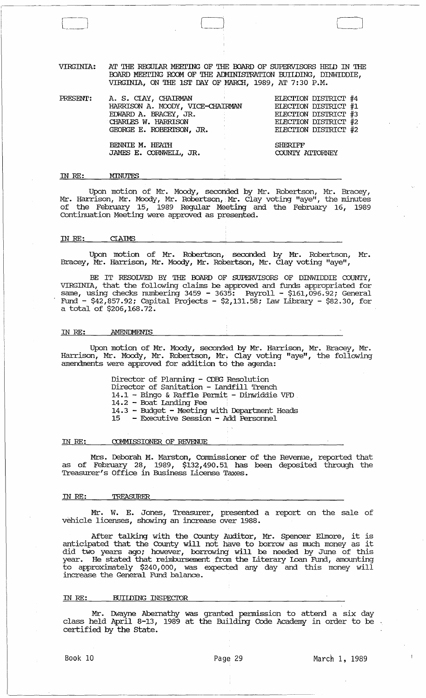VIRGINIA: AT THE REGULAR MEETING OF THE BOARD OF SUPERVISORS HELD IN THE BOARD MEETING ROOM OF THE ADMINISTRATION BUILDING, DINWIDDIE, VIRGINIA, ON THE 1ST DAY OF MARCH, 1989, AT 7: 30 P.M.

 $\begin{array}{|c|} \hline \hline \hline \hline \hline \hline \hline \hline \end{array}$ 

| PRESENT: | A. S. CIAY, CHAIRMAN             | ELECTION DISTRICT #4 |
|----------|----------------------------------|----------------------|
|          | HARRISON A. MOODY, VICE-CHAIRMAN | ELECTION DISTRICT #1 |
|          | EDWARD A. BRACEY, JR.            | ELECTION DISTRICT #3 |
|          | CHARLES W. HARRISON              | ELECTION DISTRICT #2 |
|          | GEORGE E. ROBERISON, JR.         | ELECTION DISTRICT #2 |
|          |                                  |                      |
|          | BENNIE M. HEATH                  | SHERIFF              |
|          | JAMES E. CORNWEIL, JR.           | COUNTY ATTORNEY      |
|          |                                  |                      |

#### IN *RE:*  MINUTES

Upon motion of Mr. Moody, secorided by Mr. Robertson, Mr. Bracey, Mr. Harrison, Mr. Moody, Mr. Robertson, Mr. Clay voting "aye", the minutes of the February 15, 1989 Regular Meeting and the February 16, 1989 Continuation Meeting were approved as presented.

#### IN *RE:* CIAIMS

Upon motion of Mr. Robertson, seconded by Mr. Robertson, Mr. Bracey, Mr. Harrison, Mr. Moody, Mr. Robertson, Mr. Clay voting "aye",

BE IT RESOLVED BY THE BOARD OF SUPERVISORS OF DINWIDDIE COUNTY, VIRGINIA, that the following clalins be approved and funds appropriated for same, using checks numbering 3459 - 3635: Payroll - \$161,096.92; General Fund - \$42,857.92; capital Projects - \$2,131.58; Law Library - \$82.30, for a total of \$206,168.72.

#### IN *RE:*  **AMENDMENTS**

Upon motion of Mr. Moody, seconded by Mr. Harrison, Mr. Bracey, Mr. Harrison, Mr. Moody, Mr. Robertson, Mr.. Clay voting "aye", the following amendments were approved for addition to the agenda:

> Director of Planning - CDEG Resolution Director of sanitation - Landfill Trench 14.1 - Bingo & Raffle Permit - Dinwiddie VFD 14.2 - Boat Landing Fee 14.3 - Budget - Meeting with Department Heads<br>15 - Executive Session - Add Personnel - Executive Session - Add Personnel

IN *RE:*  COMMISSIONER OF REVENUE

Mrs. Deborah M. Marston, commissioner of the Revenue, reported that as of February 28, 1989, \$132,490.51 has been deposited through the Treasurer's Office in Business License Taxes.

#### IN *RE:* TREASURER

Mr. W. E. Jones, Treasurer, presented a report on the sale of vehicle licenses, showing an increase over 1988.

After talking with the County Auditor, Mr. Spencer Elmore, it is anticipated that the County will not have to borrow as much money as it did two years ago; however, borrowing will be needed by June of this year. He stated that reimbursement from the Literary Loan Fund, amounting to approximately \$240,000, was expected any day and this money will increase the General Fund balance.

#### IN RE: BUILDING INSPECTOR

Mr. Dwayne Abernathy was granted permission to attend a six day class held April 8-13, 1989 at the Building Code Academy in order to be certified by the state.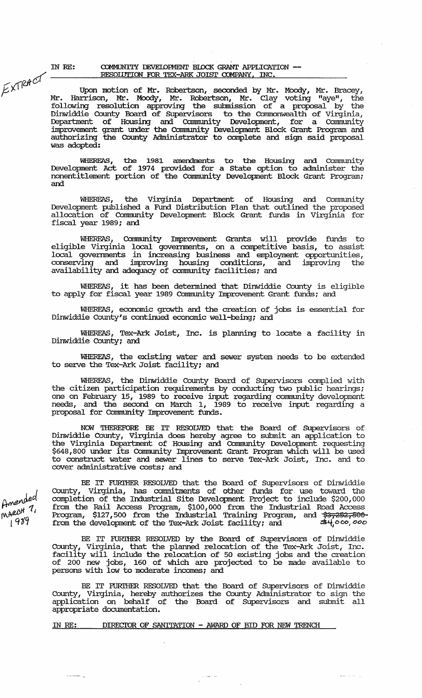IN RE: EXTRACT

# COMMUNITY DEVELOPMENT BLOCK GRANT APPLICATION --RESOLUTION FOR TEX-ARK JOIST COMPANY, INC.

Upon motion of Mr. Robertson, seconded by Mr. Moody, Mr. Bracey, Mr. Harrison, Mr. Moody, Mr. Robertson, Mr. Clay voting "aye", the following resolution approving the submission of a proposal by the Dinwiddie County Board of Supervisors to the Commonwealth of Virginia,<br>Department of Housing and Community Development, for a Community<br>improvement grant under the Community Development Block Grant Program and<br>authorizing was adopted:

WHEREAS, the 1981 amendments to the Housing and Community<br>Development Act of 1974 provided for a State option to administer the<br>nonentitlement portion of the Community Development Block Grant Program; and

WHEREAS, the Virginia Department of Housing and Community Development published a Fund Distribution Plan that outlined the proposed allocation of Community Development Block Grant funds in Virginia for<br>fiscal year 1989; and

WHEREAS, Community Improvement Grants will provide funds to<br>eligible Virginia local governments, on a competitive basis, to assist<br>local governments in increasing business and employment opportunities,<br>conserving and impro availability and adequacy of community facilities; and

WHEREAS, it has been determined that Dinwiddie County is eligible to apply for fiscal year 1989 Community Improvement Grant funds; and

WHEREAS, economic growth and the creation of jobs is essential for Dinwiddie County's continued economic well-being; and

WHEREAS, Tex-Ark Joist, Inc. is planning to locate a facility in Dinwiddie County; and

WHEREAS, the existing water and sewer system needs to be extended to serve the Tex-Ark Joist facility; and

WHEREAS, the Dinwiddie County Board of Supervisors complied with the citizen participation requirements by conducting two public hearings;<br>one on February 15, 1989 to receive input regarding community development<br>needs, and the second on March 1, 1989 to receive input regarding a proposal for Community Improvement funds.

NOW THEREFORE BE IT RESOLVED that the Board of Supervisors of Dinwiddie County, Virginia does hereby agree to submit an application to the Virginia Department of Housing and Community Development requesting \$648,800 under its Community Improvement Grant Program which will be used to cover administrative costs; and

BE IT FURTHER RESOLVED that the Board of Supervisors of Dinwiddie BE IT FURTHER RESOLVED that the Board of Supervisors of Dimensional County, Virginia, has commitments of other funds for use toward the completion of the Industrial Site Development Project to include \$200,000 from the Ra

BE IT FURTHER RESOLVED by the Board of Supervisors of Dinwiddie County, Virginia, that the planned relocation of the Tex-Ark Joist, Inc. facility will include the relocation of 50 existing jobs and the creation<br>of 200 new jobs, 160 of which are projected to be made available to persons with low to moderate incomes; and

BE IT FURTHER RESOLVED that the Board of Supervisors of Dinwiddie County, Virginia, hereby authorizes the County Administrator to sign the application on behalf of the Board of Supervisors and submit all appropriate documentation.

 $\varphi$  -size  $\varphi$  over

ل الجام المعا

DIRECTOR OF SANITATION - AWARD OF BID FOR NEW TRENCH IN RE:

Amended MARCH 7, 1989

where we may  $\mathcal{C}_{\mathcal{M}}$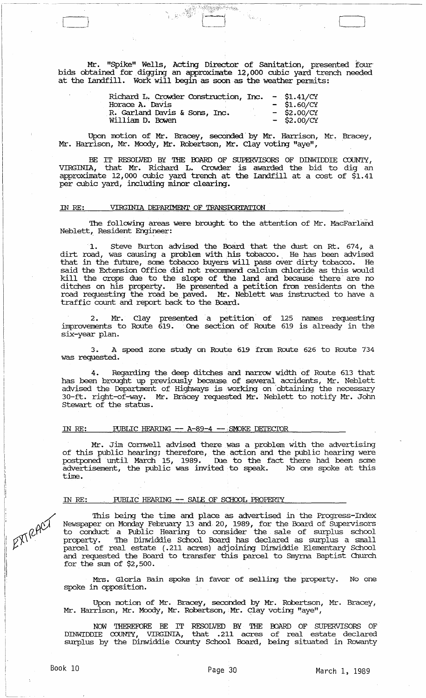Mr. "Spike" Wells, Acting Director of Sanitation, presented four bids obtained for digging an approxinate 12,000 cubic yard trench needed at the Landfill. Work will begin as soon as the weather permits:

Anggapakenas

 $\mathcal{H}_{\mathcal{O}_{\mathcal{F}}^{\mathcal{G}}_{\mathcal{F}}}$ 

一起传

| Richard L. Crowder Construction, Inc. |  | $-$ \$1.41/CY |
|---------------------------------------|--|---------------|
| Horace A. Davis                       |  | $-$ \$1.60/CY |
| R. Garland Davis & Sons, Inc.         |  | $-$ \$2.00/CY |
| William D. Bowen                      |  | $-$ \$2.00/CY |

Upon motion of Mr. Bracey, seconded by Mr. Harrison, Mr. Bracey, Mr. Harrison, Mr. Moody, Mr. Robertson, Mr. Clay voting "aye",

BE IT RESOLVED BY THE BOARD OF SUPERVISORS OF DINWIDDIE COUNTY, VIRGINIA, that Mr. Richard L. Crowder is awarded the bid to dig an approximate 12,000 cubic yard trench at the Landfill at a cost of \$1.41 per cubic yard, including minor clearing.

# IN RE: VIRGINIA DEPARIMENT OF TRANSFORTATION

-----------~-

[-}

The following areas were brought to the attention of Mr. MacFarland Neblett, Resident Engineer:

Steve Burton advised the Board that the dust on Rt. 674, a dirt road, was causing a problem with his tobacco. He has been advised that in the future, some tobacco buyers will pass over dirty tobacco. He said the Extension Office did not recommend calcium chloride as this would kill the crops due to the slope of the land and because there are no ditches on his property. He presented a petition from residents on the road requesting the road be paved. Mr. Neblett was instructed to have a traffic count and report back to the Board.

2. Mr. Clay presented a petition of 125 names requesting linprovements to Route 619. 'One section of Route 619 is already in the six-year plan.

3. A speed zone study on Route 619 from Route 626 to Route 734 was requested.

4. Regarding the deep ditches and narrow width of Route 613 that has been brought up previously because of several accidents, Mr. Neblett advised the Department of Highways is working on obtaining the necessary 30-ft. right-of-way. Mr. Bracey requested Mr. Neblett to notify Mr. John stewart of the status.

### IN RE: FUBLIC HEARING -- A-89-4 -- SMOKE DETECTOR

Mr. Jim Cornwell advised there. was a problem with the advertising of this public hearing; therefore, the action and the public hearing were postponed until March 15, 1989. Due to the fact there had been some advertisement, the public was invited to speak. No one spoke at this time.

# IN RE: ... PUBLIC HEARING -- SALE OF SCHOOL PROPERTY

'Ibis being the time and place as advertised in the Progress-Index Newspaper on Monday February 13 and 20, 1989, for the Board of Supervisors to conduct a Public Hearing to consider the sale of surplus school property. The Dinwiddie School Board has declared as surplus a small parcel of real estate (.211 acres) adjoining Dinwiddie Elementary School and requested the Board to transfer this parcel to Smyrna Baptist Church for the sum of \$2,500.

Mrs. Gloria Bain spoke in favor of selling the property. No one spoke in opposition.

Upon motion of Mr. Bracey, seconded by Mr. Robertson, Mr. Bracey, Mr. Harrison, Mr. Moody, Mr. Robertson, Mr. Clay voting "aye",

NOW THEREFORE BE IT RESOLVED BY 'mE OOARD OF SUPERVISORS OF DINWIDDIE COUNTY, VIRGINIA, that .211 acres of real estate declared surplus by the Dinwiddie County School Board, being situated in Rowanty

EXTRACT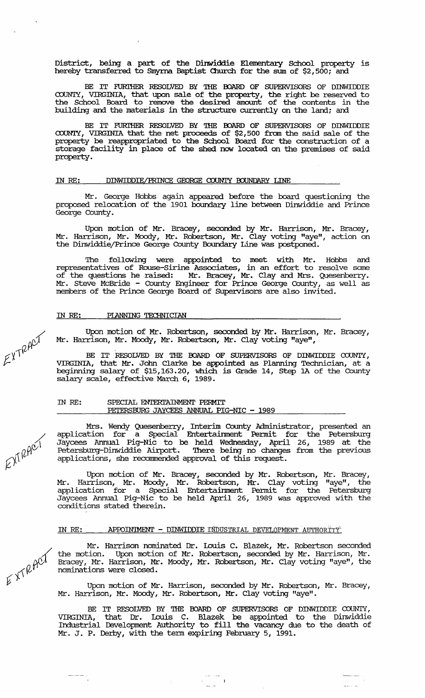District, being a part of the Dinwiddie Elementary School property is hereby transferred to Smyrna Baptist Church for the sum of \$2,500; and

BE IT FURIHER RESOLVED BY THE BOARD OF SUPERVISORS OF DINWIDDIE a::>UNTY, VIRGINIA, that upon sale of the property, the right be reserved to the School Board to remove the desired amount of the contents in the building and the materials in the structure currently on the land; and

BE IT FURIHER RESOLVED BY THE BOARD OF SUPERVISORS OF DINWIDDIE COUNTY, VIRGINIA that the net proceeds of \$2,500 from the said sale of the property be reappropriated to the School Board for the construction of a storage facility in place of the shed now located on the premises of said property.

# IN RE: DINWIDDIE/PRINCE GEORGE COUNTY BOUNDARY LINE

Mr. George Hobbs again appeared before the board questioning the proposed relocation of the 1901 boundary line between Dinwiddie and Prince George County.

Upon motion of Mr. Bracey, seconded by Mr. Harrison, Mr. Bracey, Mr. Harrison, Mr. Moody, Mr. Robertson, Mr. Clay voting "aye", action on the Dinwiddie/Prince George County Boundary Line was postponed.

The following were appointed to meet with Mr. Hobbs and representatives of Rouse-sirine Associates, in an effort to resolve some of the questions he raised: Mr. Bracey, Mr. Clay and Mrs. Quesenberry. Mr. Steve McBride - County Engineer for Prince George County, as well as members of the Prince George Board of Supervisors are also invited.

# IN RE: PIANNING TECHNICIAN

Upon motion of Mr. Robertson, seconded by Mr. Harrison, Mr. Bracey, Mr. Harrison, Mr. Moody, Mr. Robertson, Mr. Clay voting "aye",

BE IT RESOLVED BY THE BOARD OF SUPERVISORS OF DINWIDDIE COUNTY, VIRGINIA, that Mr. John Clarke be appointed as Planning Technician, at a beginning salary of \$15,163.20, which is Grade 14, step 1A of the County salary scale, effective March 6, 1989.

# IN RE: SPECIAL ENTERTAINMENT PERMIT PErERSBURG JAYCEES ANNUAL PIG-NIC - 1989

Mrs. Wendy Quesenberry, Interim County Administrator, presented an application for a Special Entertainment Pennit for the Petersburg Jaycees Annual Pig-Nic to be held Wednesday, April 26, 1989 at the Petersburg-Dinwiddie Airport. There being no changes from the previous applications, she recommended approval of this request.

Upon motion of Mr. Bracey, seconded by Mr. Robertson, Mr. Bracey, Mr. Harrison, Mr. Moody, Mr. Robertson, Mr. Clay voting "aye" , the application for a Special Entertainment Pennit for the Petersburg Jaycees Annual Pig-Nic to be held April 26, 1989 was approved with the conditions stated therein.

## IN RE: AProIN'IMENT - DINWIDDIE INDUSTRIAL DEVELOPMENT AUTHORITY:'

Mr. Harrison nominated Dr. Louis C. Blazek, Mr. Robertson seconded the motion. Upon motion of Mr. Robertson, seconded by Mr. Harrison, Mr. Bracey, Mr. Harrison, Mr. Moody, Mr. Robertson, Mr. Clay voting "aye", the nominations were closed.

Upon motion of Mr. Harrison, seconded by Mr. Robertson, Mr. Bracey, Mr. Harrison, Mr. Moody, Mr. Robertson, Mr. Clay voting "aye".

BE IT RESOLVED BY 'IHE OOARD OF SUPERVISORS OF DINWIDDIE COUNTY, VIRGINIA, that Dr. Louis C. Blazek be appointed to the Dinwiddie Industrial Development Authority to fill the vacancy due to the death of Mr. J. P. Derby, with the tenn expiring February 5, 1991.

 $\label{eq:2} \begin{array}{c} \mathcal{L}_{\text{max}}(\mathcal{L}_{\text{max}}) = \mathcal{L}_{\text{max}}(\mathcal{L}_{\text{max}}) \\ \mathcal{L}_{\text{max}}(\mathcal{L}_{\text{max}}) = \mathcal{L}_{\text{max}}(\mathcal{L}_{\text{max}}) \end{array}$ 

 $\angle$  $kT^{RH}$ 

/.  $\alpha$ u $\sim$  $\mathcal{O}^{\left(\right|\nu\right)}$ 

 $E\times T^{RAC}$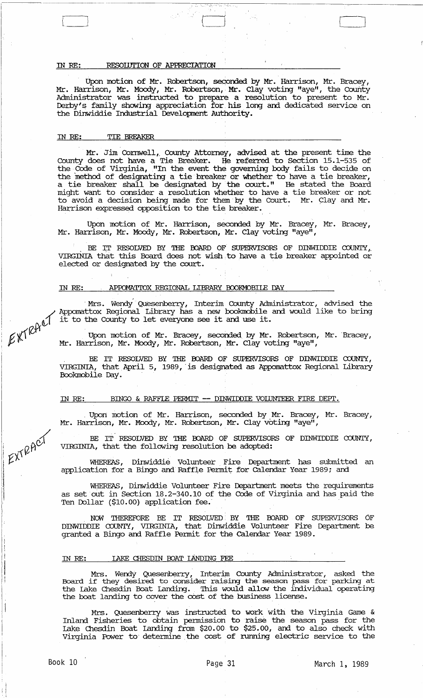#### IN RE: RESOLUTION OF APPRECIATION

Upon motion of Mr. Robertson, seconded by Mr. Harrison, Mr. Bracey, Mr. Harrison, Mr. Moody, Mr. Robertson, Mr. Clay voting "aye", the County Administrator was instructed to prepare a resolution to present to Mr. Derby's family showing appreciation for his long and dedicated service on the Dinwiddie Industrial Development Authority.

t\_J iJ

#### ill RE: TIE BREAKER

Mr. Jim Cornwell, County Attorney, advised at the present time the County does not have a Tie Breaker. He referred to Section 15.1-535 of the COOe of Virginia, "In the event the governing body fails to decide on the method of designating a tie breaker or whether to have a tie breaker, a tie breaker shall be designated by the court." He stated the Board might want to consider a resolution whether to have a tie breaker or not to avoid a decision being nade for them' by the Court. Mr. Clay and Mr. Harrison expressed opposition to the tie breaker.

Upon motion of Mr. Harrison, seconded by Mr. Bracey, Mr. Bracey, Mr. Harrison, Mr. Moody, Mr. Robertson, Mr. Clay voting "aye",

BE IT RESOLVED BY THE BOARD OF SUPERVISORS OF DINWIDDIE COUNTY, VIRGINIA that this Board does not wish to have a tie breaker appointed or elected or designated by the court.

#### IN RE: APPOMATIOX REGIONAL LIBRARY BOOKMOBILE DAY

Mrs. Wendy Quesenberry, Interim County Administrator, advised the <br>
/ Appomattox Regional Library has a new bookmobile and would like to bring  $\text{EVALU}$  it to the County to let everyone see it and use it.<br> $\text{EVALU}$ 

 $\text{K}\text{K}^{\text{H}}$  Upon motion of Mr. Bracey, seconded by Mr. Robertson, Mr. Bracey,  $\not\!\!L^{p,q}$  Mr. Harrison, Mr. Moody, Mr. Robertson, Mr. Clay voting "aye",

> . BE IT RESOLVED BY THE BOARD OF SUPERVISORS OF DINWIDDIE COUNTY, VIRGINIA, that April 5, 1989, is designated as Appomattox Regional Library Bookmobile Day.

# IN RE: BINGO & RAFFLE PERMIT -- DINWIDDIE VOLUNTEER FIRE DEPT.

Upon motion of Mr. Harrison, seconded by Mr. Bracey, Mr. Bracey, Mr. Harrison, Mr. Moody, Mr. Robertson, Mr. Clay voting "aye",

BE IT RESOLVED BY THE BOARD OF SUPERVISORS OF DINWIDDIE COUNTY, VIRGINIA, that the following resolution be adopted:

WHEREAS, Dinwiddie Volunteer, Fire Department has submitted an application for a Bingo and Raffle Permit for Calendar Year 1989; and

WHEREAS, Dinwiddie Volunteer Fire Department meets the requirements as set out in Section 18.2-340.10 of the COOe of Virginia and has paid the Ten Dollar (\$10.00) application fee.

NOW THEREFORE BE IT RESOLVED BY THE BOARD OF SUPERVISORS OF DINWIDDIE COUNTY, VIRGINIA, that Dinwiddie Volunteer Fire Department be granted a Bingo and Raffle Permit for the calendar Year 1989.

# IN RE: LAKE CHESDIN BOAT LANDING FEE

Mrs. Wendy Quesenberry, Interim County Administrator, asked the Board if they desired to consider raising the season pass for parking at the Lake Chesdin Boat landing. '!his would allow the individual operating the boat landing to cover the cost of the business license.

Mrs. Quesenberry was instructed to work with the Virginia Game & Inland Fisheries to obtain pennission to raise the season pass for the lake Chesdin Boat landing fram \$20.00 to \$25.00, and to also check with Virginia Power to' detennine the cost of running electric service to the

EXTRACT